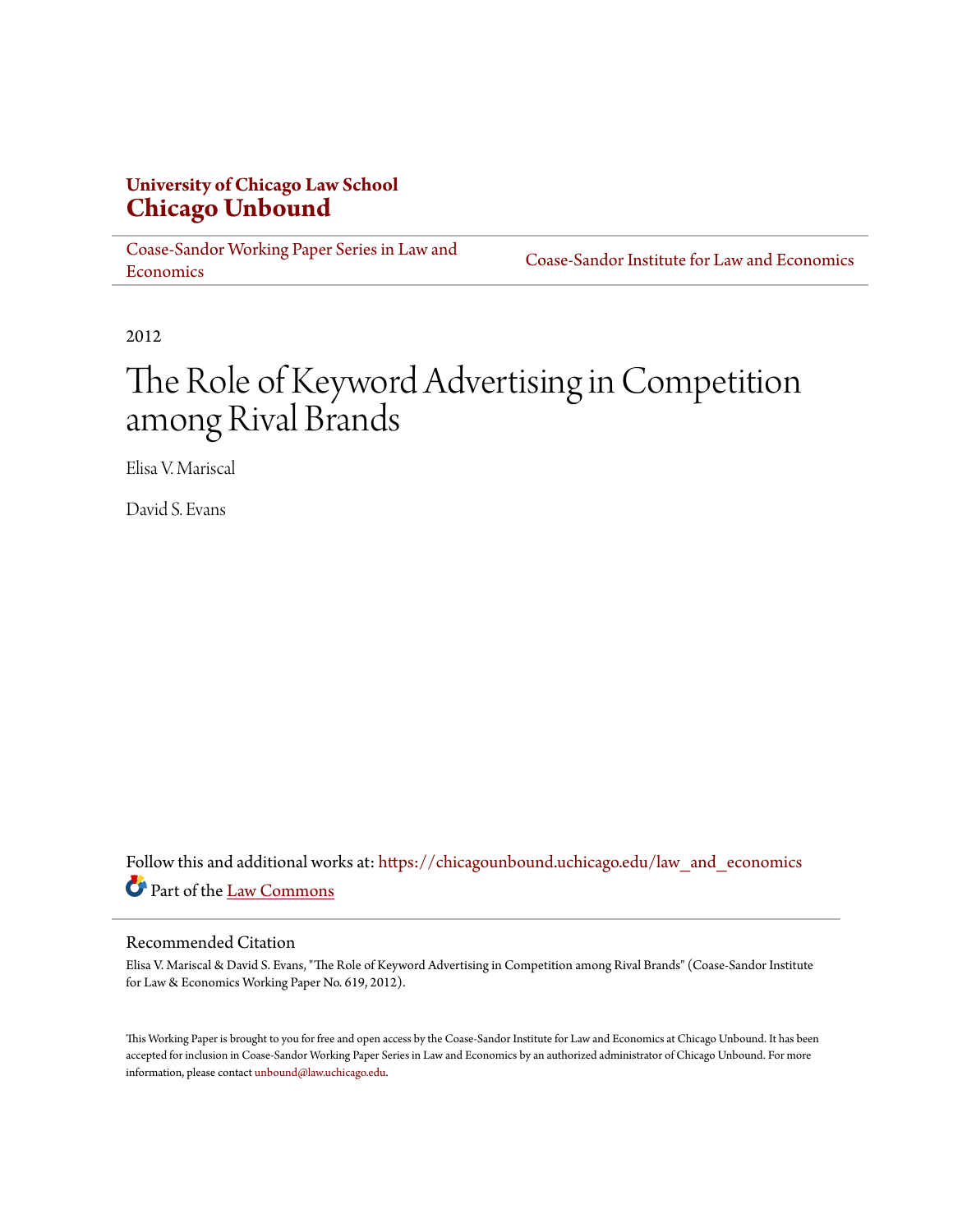# **University of Chicago Law School [Chicago Unbound](https://chicagounbound.uchicago.edu?utm_source=chicagounbound.uchicago.edu%2Flaw_and_economics%2F570&utm_medium=PDF&utm_campaign=PDFCoverPages)**

[Coase-Sandor Working Paper Series in Law and](https://chicagounbound.uchicago.edu/law_and_economics?utm_source=chicagounbound.uchicago.edu%2Flaw_and_economics%2F570&utm_medium=PDF&utm_campaign=PDFCoverPages) [Economics](https://chicagounbound.uchicago.edu/law_and_economics?utm_source=chicagounbound.uchicago.edu%2Flaw_and_economics%2F570&utm_medium=PDF&utm_campaign=PDFCoverPages)

[Coase-Sandor Institute for Law and Economics](https://chicagounbound.uchicago.edu/coase_sandor_institute?utm_source=chicagounbound.uchicago.edu%2Flaw_and_economics%2F570&utm_medium=PDF&utm_campaign=PDFCoverPages)

2012

# The Role of Keyword Advertising in Competition among Rival Brands

Elisa V. Mariscal

David S. Evans

Follow this and additional works at: [https://chicagounbound.uchicago.edu/law\\_and\\_economics](https://chicagounbound.uchicago.edu/law_and_economics?utm_source=chicagounbound.uchicago.edu%2Flaw_and_economics%2F570&utm_medium=PDF&utm_campaign=PDFCoverPages) Part of the [Law Commons](http://network.bepress.com/hgg/discipline/578?utm_source=chicagounbound.uchicago.edu%2Flaw_and_economics%2F570&utm_medium=PDF&utm_campaign=PDFCoverPages)

#### Recommended Citation

Elisa V. Mariscal & David S. Evans, "The Role of Keyword Advertising in Competition among Rival Brands" (Coase-Sandor Institute for Law & Economics Working Paper No. 619, 2012).

This Working Paper is brought to you for free and open access by the Coase-Sandor Institute for Law and Economics at Chicago Unbound. It has been accepted for inclusion in Coase-Sandor Working Paper Series in Law and Economics by an authorized administrator of Chicago Unbound. For more information, please contact [unbound@law.uchicago.edu.](mailto:unbound@law.uchicago.edu)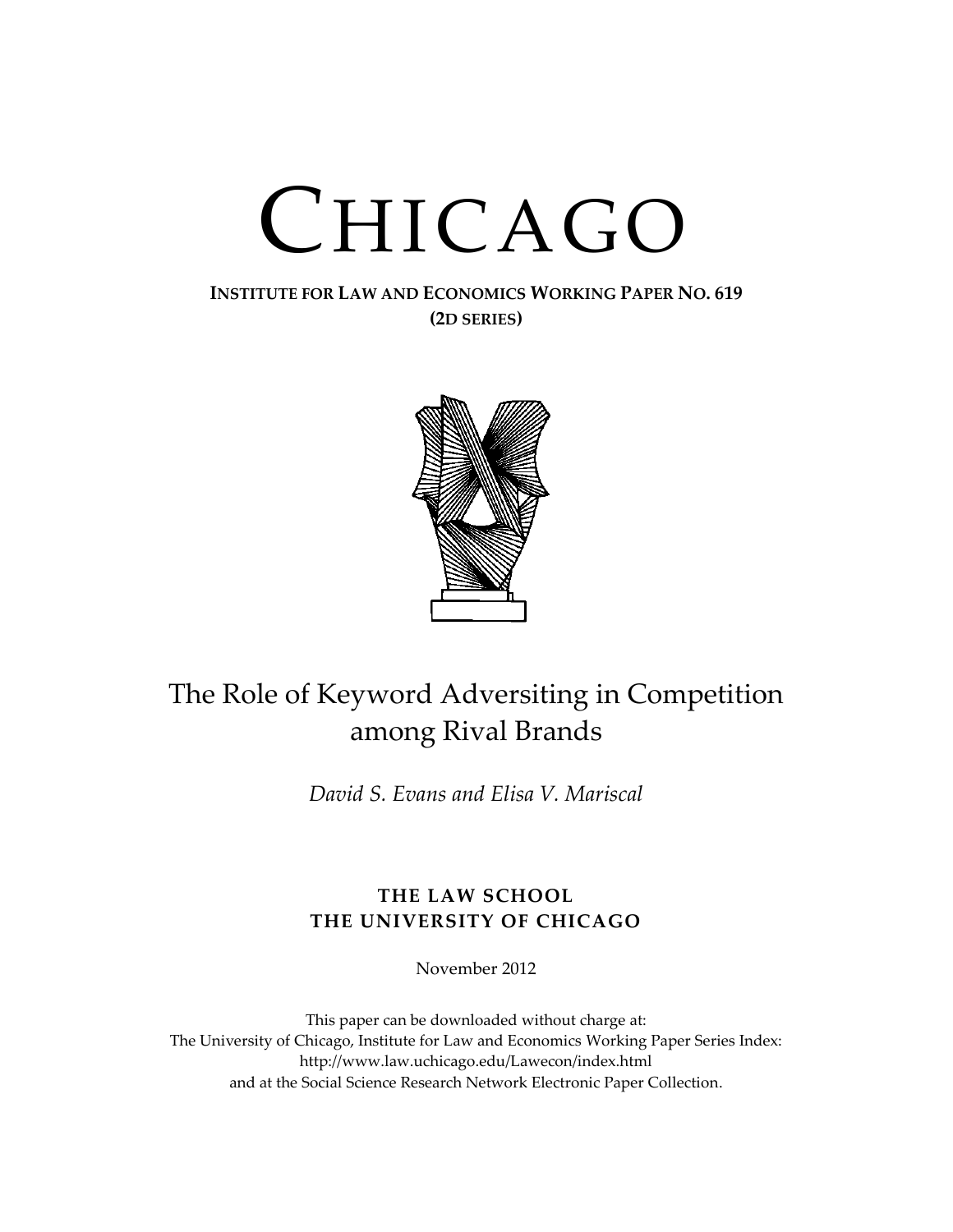# CHICAGO

# **INSTITUTE FOR LAW AND ECONOMICS WORKING PAPER NO. 619 (2D SERIES)**



# The Role of Keyword Adversiting in Competition among Rival Brands

*David S. Evans and Elisa V. Mariscal*

# **THE LAW SCHOOL THE UNIVERSITY OF CHICAGO**

November 2012

This paper can be downloaded without charge at: The University of Chicago, Institute for Law and Economics Working Paper Series Index: http://www.law.uchicago.edu/Lawecon/index.html and at the Social Science Research Network Electronic Paper Collection.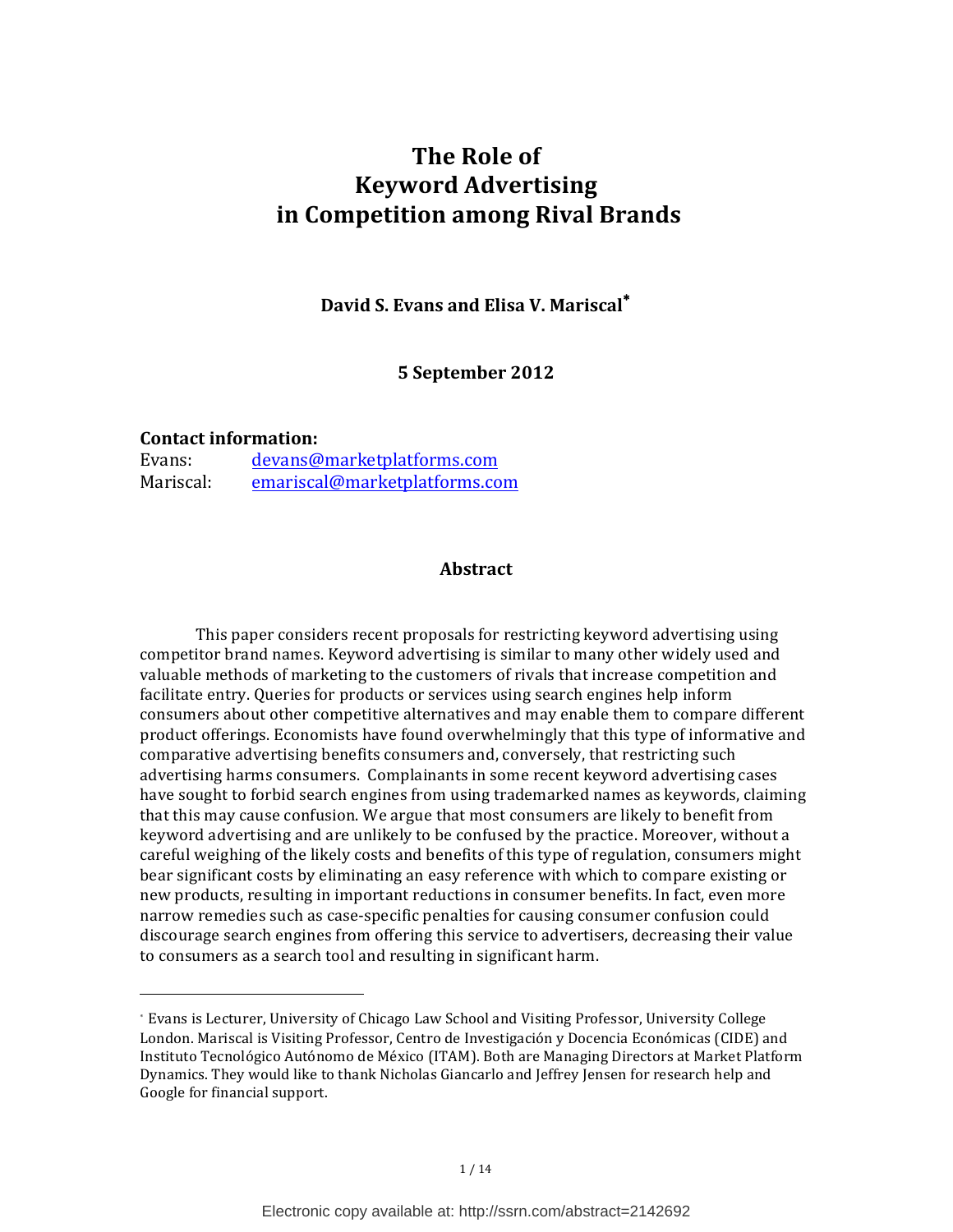# **The Role of Keyword!Advertising in Competition among Rival Brands**

David S. Evans and Elisa V. Mariscal<sup>∗</sup>

#### **5 September 2012**

#### **Contact information:**

!!!!!!!!!!!!!!!!!!!!!!!!!!!!!!!!!!!!!!!!!!!!!!!!!!!!!!!

| Evans:    | devans@marketplatforms.com    |
|-----------|-------------------------------|
| Mariscal: | emariscal@marketplatforms.com |

#### **Abstract**

This paper considers recent proposals for restricting keyword advertising using competitor brand names. Keyword advertising is similar to many other widely used and valuable methods of marketing to the customers of rivals that increase competition and facilitate entry. Queries for products or services using search engines help inform consumers about other competitive alternatives and may enable them to compare different product offerings. Economists have found overwhelmingly that this type of informative and comparative advertising benefits consumers and, conversely, that restricting such advertising harms consumers. Complainants in some recent keyword advertising cases have sought to forbid search engines from using trademarked names as keywords, claiming that this may cause confusion. We argue that most consumers are likely to benefit from keyword advertising and are unlikely to be confused by the practice. Moreover, without a careful weighing of the likely costs and benefits of this type of regulation, consumers might bear significant costs by eliminating an easy reference with which to compare existing or new products, resulting in important reductions in consumer benefits. In fact, even more narrow remedies such as case-specific penalties for causing consumer confusion could discourage search engines from offering this service to advertisers, decreasing their value to consumers as a search tool and resulting in significant harm.

<sup>∗</sup> Evans is Lecturer, University of Chicago Law School and Visiting Professor, University College London. Mariscal is Visiting Professor, Centro de Investigación y Docencia Económicas (CIDE) and Instituto Tecnológico Autónomo de México (ITAM). Both are Managing Directors at Market Platform Dynamics. They would like to thank Nicholas Giancarlo and Jeffrey Jensen for research help and Google for financial support.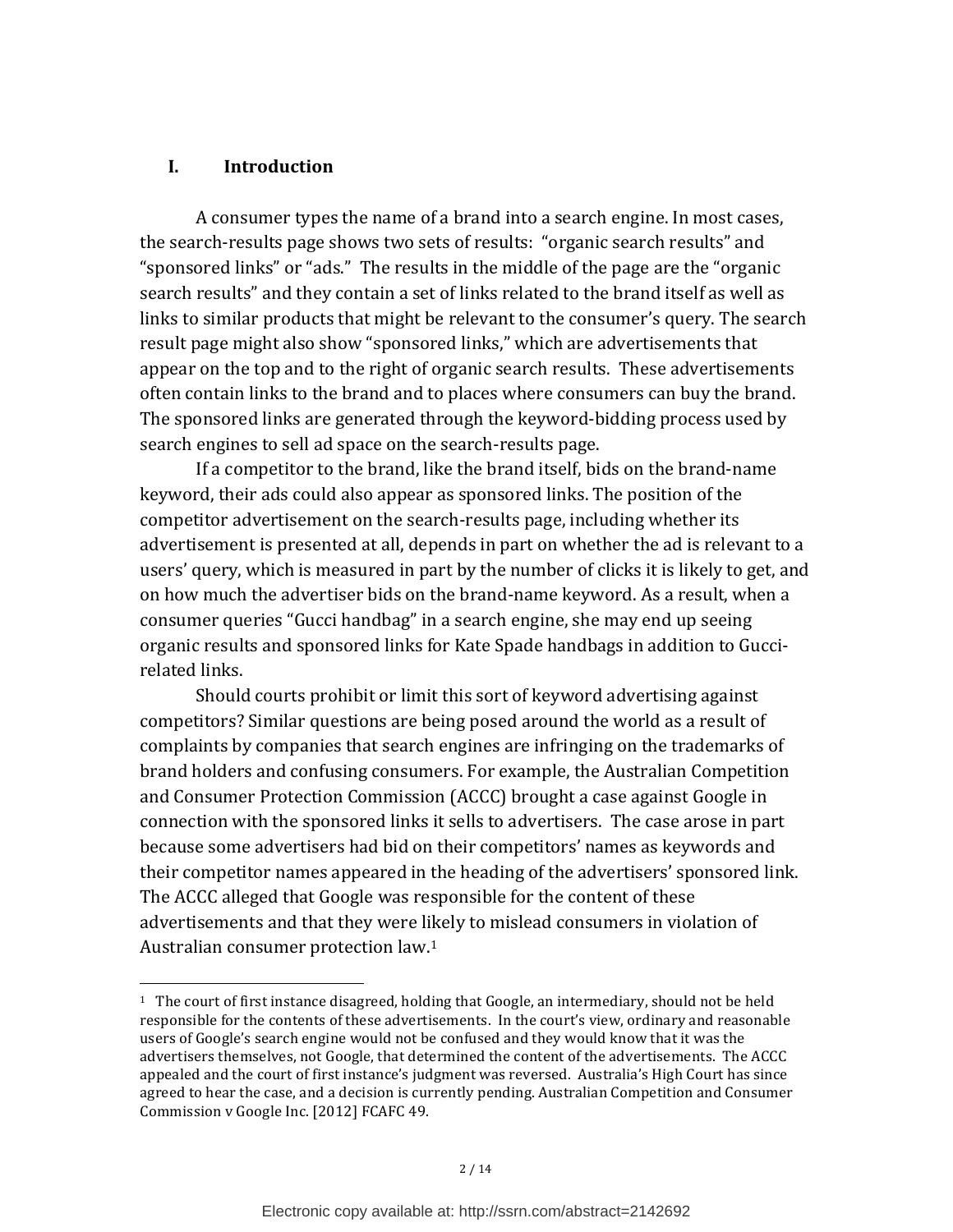#### **I. Introduction**

!!!!!!!!!!!!!!!!!!!!!!!!!!!!!!!!!!!!!!!!!!!!!!!!!!!!!!!

A consumer types the name of a brand into a search engine. In most cases, the search-results page shows two sets of results: "organic search results" and "sponsored links" or "ads." The results in the middle of the page are the "organic" search results" and they contain a set of links related to the brand itself as well as links to similar products that might be relevant to the consumer's query. The search result page might also show "sponsored links," which are advertisements that appear on the top and to the right of organic search results. These advertisements often contain links to the brand and to places where consumers can buy the brand. The sponsored links are generated through the keyword-bidding process used by search engines to sell ad space on the search-results page.

If a competitor to the brand, like the brand itself, bids on the brand-name keyword, their ads could also appear as sponsored links. The position of the competitor advertisement on the search-results page, including whether its advertisement is presented at all, depends in part on whether the ad is relevant to a users' query, which is measured in part by the number of clicks it is likely to get, and on how much the advertiser bids on the brand-name keyword. As a result, when a consumer queries "Gucci handbag" in a search engine, she may end up seeing organic results and sponsored links for Kate Spade handbags in addition to Guccirelated links.

Should courts prohibit or limit this sort of keyword advertising against competitors? Similar questions are being posed around the world as a result of complaints by companies that search engines are infringing on the trademarks of brand holders and confusing consumers. For example, the Australian Competition and Consumer Protection Commission (ACCC) brought a case against Google in connection with the sponsored links it sells to advertisers. The case arose in part because some advertisers had bid on their competitors' names as keywords and their competitor names appeared in the heading of the advertisers' sponsored link. The ACCC alleged that Google was responsible for the content of these advertisements and that they were likely to mislead consumers in violation of Australian consumer protection law.<sup>1</sup>

 $1$  The court of first instance disagreed, holding that Google, an intermediary, should not be held responsible for the contents of these advertisements. In the court's view, ordinary and reasonable users of Google's search engine would not be confused and they would know that it was the advertisers themselves, not Google, that determined the content of the advertisements. The ACCC appealed and the court of first instance's judgment was reversed. Australia's High Court has since agreed to hear the case, and a decision is currently pending. Australian Competition and Consumer Commission v Google Inc. [2012] FCAFC 49.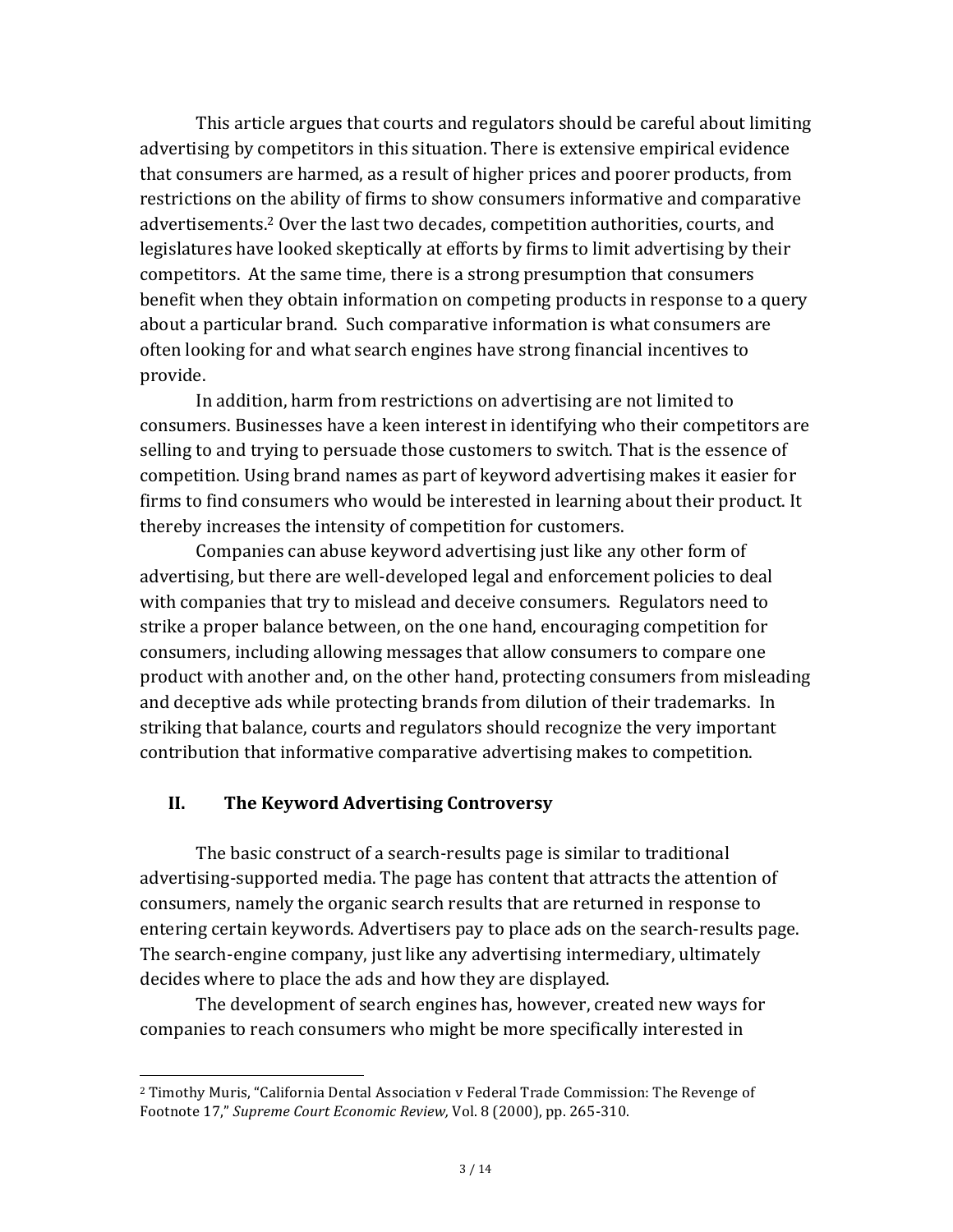This article argues that courts and regulators should be careful about limiting advertising by competitors in this situation. There is extensive empirical evidence that consumers are harmed, as a result of higher prices and poorer products, from restrictions on the ability of firms to show consumers informative and comparative advertisements.<sup>2</sup> Over the last two decades, competition authorities, courts, and legislatures have looked skeptically at efforts by firms to limit advertising by their competitors. At the same time, there is a strong presumption that consumers benefit when they obtain information on competing products in response to a query about a particular brand. Such comparative information is what consumers are often looking for and what search engines have strong financial incentives to provide.

In addition, harm from restrictions on advertising are not limited to consumers. Businesses have a keen interest in identifying who their competitors are selling to and trying to persuade those customers to switch. That is the essence of competition. Using brand names as part of keyword advertising makes it easier for firms to find consumers who would be interested in learning about their product. It thereby increases the intensity of competition for customers.

Companies can abuse keyword advertising just like any other form of advertising, but there are well-developed legal and enforcement policies to deal with companies that try to mislead and deceive consumers. Regulators need to strike a proper balance between, on the one hand, encouraging competition for consumers, including allowing messages that allow consumers to compare one product with another and, on the other hand, protecting consumers from misleading and deceptive ads while protecting brands from dilution of their trademarks. In striking that balance, courts and regulators should recognize the very important contribution that informative comparative advertising makes to competition.

## **II.** The Keyword Advertising Controversy

The basic construct of a search-results page is similar to traditional advertising-supported media. The page has content that attracts the attention of consumers, namely the organic search results that are returned in response to  $\overline{a}$ entering certain keywords. Advertisers pay to place ads on the search-results page. The search-engine company, just like any advertising intermediary, ultimately decides where to place the ads and how they are displayed.

The development of search engines has, however, created new ways for companies to reach consumers who might be more specifically interested in

<sup>!!!!!!!!!!!!!!!!!!!!!!!!!!!!!!!!!!!!!!!!!!!!!!!!!!!!!!!</sup> <sup>2</sup> Timothy Muris, "California Dental Association v Federal Trade Commission: The Revenge of Footnote 17," Supreme Court Economic Review, Vol. 8 (2000), pp. 265-310.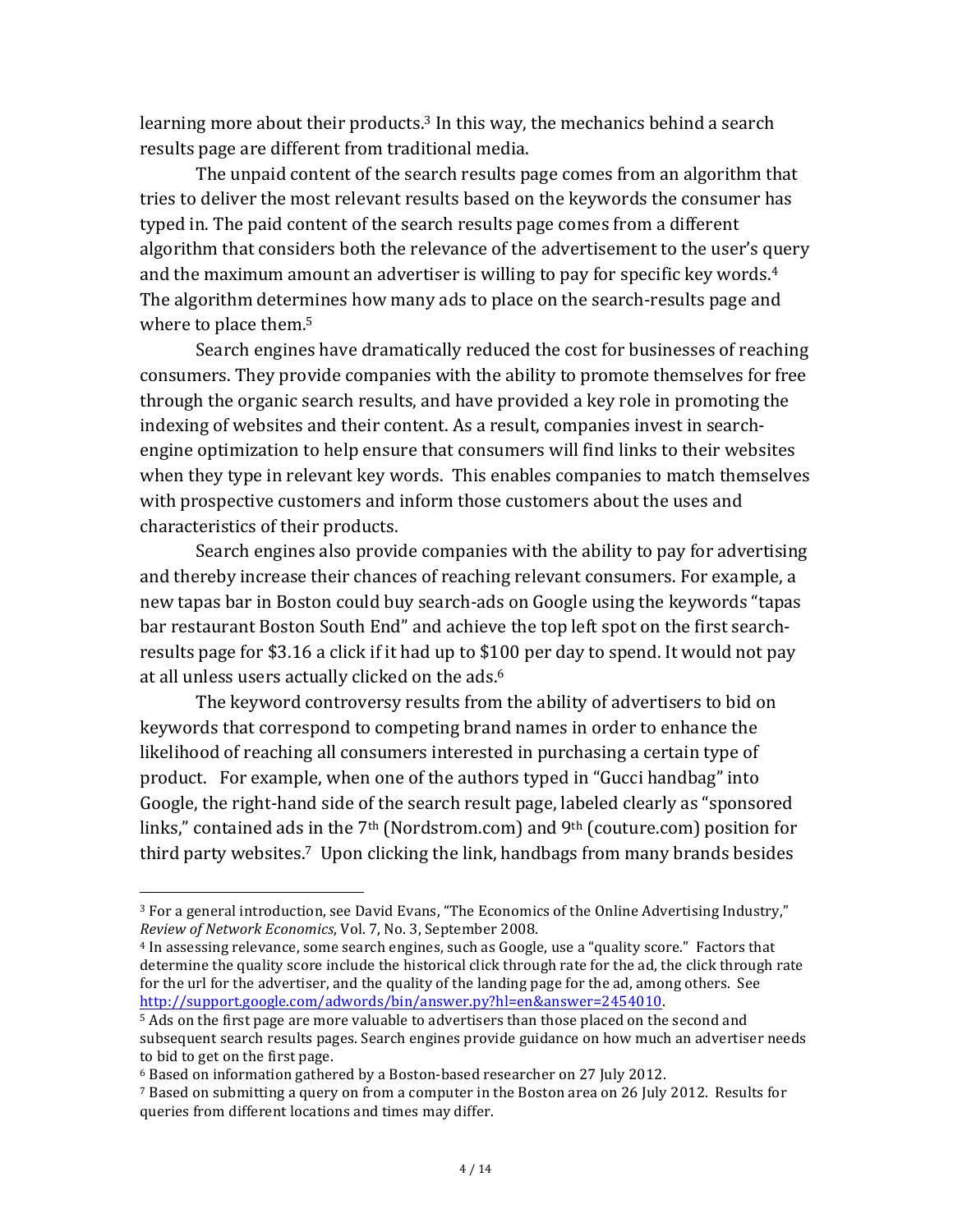learning more about their products.<sup>3</sup> In this way, the mechanics behind a search results page are different from traditional media.

The unpaid content of the search results page comes from an algorithm that tries to deliver the most relevant results based on the keywords the consumer has typed in. The paid content of the search results page comes from a different algorithm that considers both the relevance of the advertisement to the user's query and the maximum amount an advertiser is willing to pay for specific key words. $4$ The algorithm determines how many ads to place on the search-results page and where to place them.<sup>5</sup>

Search engines have dramatically reduced the cost for businesses of reaching consumers. They provide companies with the ability to promote themselves for free through the organic search results, and have provided a key role in promoting the indexing of websites and their content. As a result, companies invest in searchengine optimization to help ensure that consumers will find links to their websites when they type in relevant key words. This enables companies to match themselves with prospective customers and inform those customers about the uses and characteristics of their products.

Search engines also provide companies with the ability to pay for advertising and thereby increase their chances of reaching relevant consumers. For example, a new tapas bar in Boston could buy search-ads on Google using the keywords "tapas" bar restaurant Boston South End" and achieve the top left spot on the first searchresults page for \$3.16 a click if it had up to \$100 per day to spend. It would not pay at all unless users actually clicked on the ads. $6$ 

The keyword controversy results from the ability of advertisers to bid on keywords that correspond to competing brand names in order to enhance the likelihood of reaching all consumers interested in purchasing a certain type of product. For example, when one of the authors typed in "Gucci handbag" into Google, the right-hand side of the search result page, labeled clearly as "sponsored links," contained ads in the 7<sup>th</sup> (Nordstrom.com) and 9<sup>th</sup> (couture.com) position for third party websites.<sup>7</sup> Upon clicking the link, handbags from many brands besides

 $3$  For a general introduction, see David Evans, "The Economics of the Online Advertising Industry," *Review of Network Economics, Vol. 7, No. 3, September 2008.* 

<sup>&</sup>lt;sup>4</sup> In assessing relevance, some search engines, such as Google, use a "quality score." Factors that determine the quality score include the historical click through rate for the ad, the click through rate for the url for the advertiser, and the quality of the landing page for the ad, among others. See http://support.google.com/adwords/bin/answer.py?hl=en&answer=2454010.!

 $5$  Ads on the first page are more valuable to advertisers than those placed on the second and subsequent search results pages. Search engines provide guidance on how much an advertiser needs to bid to get on the first page.

 $6$  Based on information gathered by a Boston-based researcher on 27 July 2012.

 $7$  Based on submitting a query on from a computer in the Boston area on 26 July 2012. Results for queries from different locations and times may differ.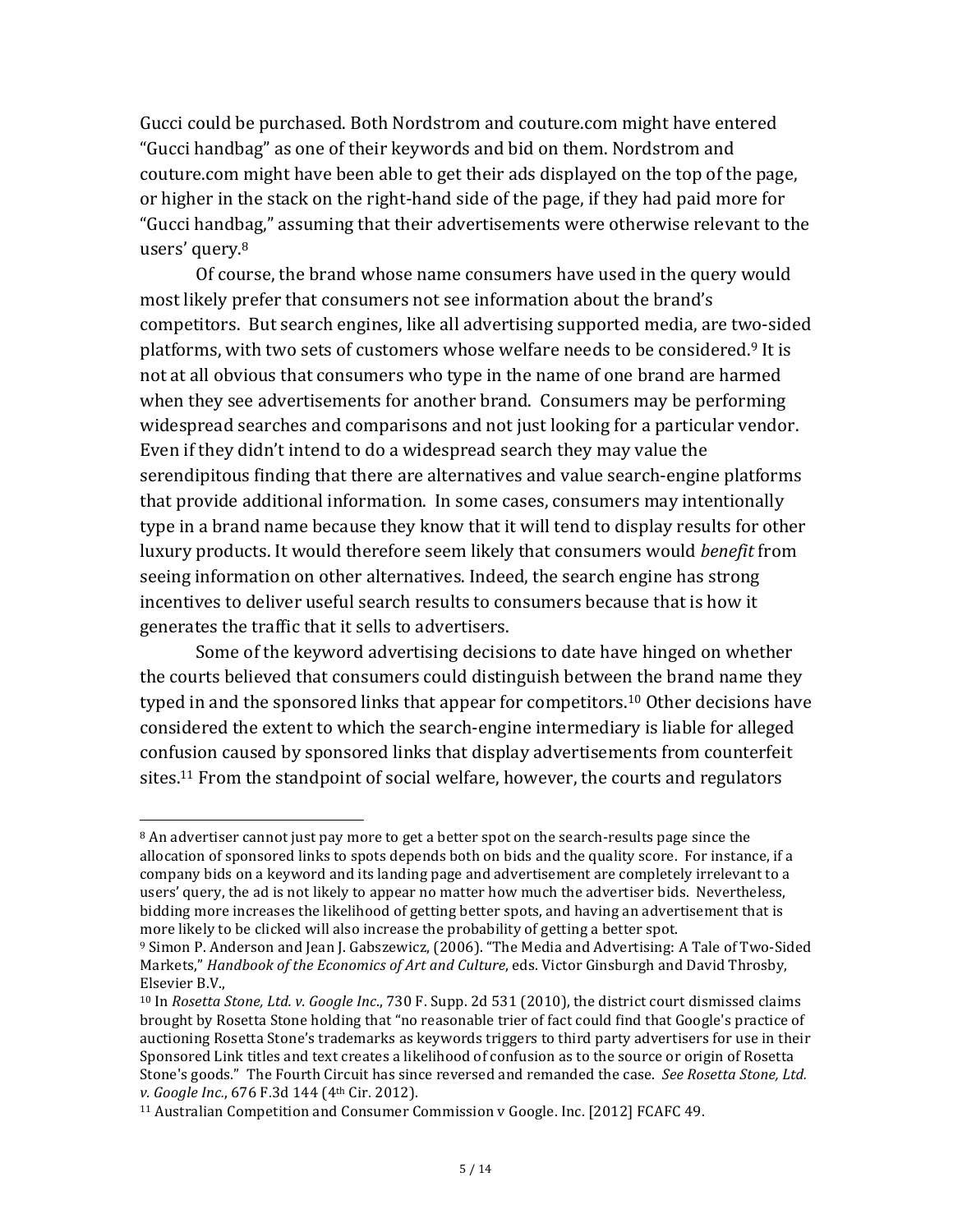Gucci could be purchased. Both Nordstrom and couture.com might have entered "Gucci handbag" as one of their keywords and bid on them. Nordstrom and couture.com might have been able to get their ads displayed on the top of the page, or higher in the stack on the right-hand side of the page, if they had paid more for "Gucci handbag," assuming that their advertisements were otherwise relevant to the users' query.<sup>8</sup>

Of course, the brand whose name consumers have used in the query would most likely prefer that consumers not see information about the brand's competitors. But search engines, like all advertising supported media, are two-sided platforms, with two sets of customers whose welfare needs to be considered.<sup>9</sup> It is not at all obvious that consumers who type in the name of one brand are harmed when they see advertisements for another brand. Consumers may be performing widespread searches and comparisons and not just looking for a particular vendor. Even if they didn't intend to do a widespread search they may value the serendipitous finding that there are alternatives and value search-engine platforms that provide additional information. In some cases, consumers may intentionally type in a brand name because they know that it will tend to display results for other luxury products. It would therefore seem likely that consumers would *benefit* from seeing information on other alternatives. Indeed, the search engine has strong incentives to deliver useful search results to consumers because that is how it generates the traffic that it sells to advertisers.

Some of the keyword advertising decisions to date have hinged on whether the courts believed that consumers could distinguish between the brand name they typed in and the sponsored links that appear for competitors.<sup>10</sup> Other decisions have considered the extent to which the search-engine intermediary is liable for alleged confusion caused by sponsored links that display advertisements from counterfeit sites.<sup>11</sup> From the standpoint of social welfare, however, the courts and regulators

<sup>!!!!!!!!!!!!!!!!!!!!!!!!!!!!!!!!!!!!!!!!!!!!!!!!!!!!!!!</sup>  $8$  An advertiser cannot just pay more to get a better spot on the search-results page since the allocation of sponsored links to spots depends both on bids and the quality score. For instance, if a company bids on a keyword and its landing page and advertisement are completely irrelevant to a users' query, the ad is not likely to appear no matter how much the advertiser bids. Nevertheless, bidding more increases the likelihood of getting better spots, and having an advertisement that is more likely to be clicked will also increase the probability of getting a better spot.

<sup>&</sup>lt;sup>9</sup> Simon P. Anderson and Jean J. Gabszewicz, (2006). "The Media and Advertising: A Tale of Two-Sided Markets," *Handbook of the Economics of Art and Culture*, eds. Victor Ginsburgh and David Throsby, Elsevier B.V.,

<sup>&</sup>lt;sup>10</sup> In *Rosetta Stone, Ltd. v. Google Inc.*, 730 F. Supp. 2d 531 (2010), the district court dismissed claims brought by Rosetta Stone holding that "no reasonable trier of fact could find that Google's practice of auctioning Rosetta Stone's trademarks as keywords triggers to third party advertisers for use in their Sponsored Link titles and text creates a likelihood of confusion as to the source or origin of Rosetta Stone's goods." The Fourth Circuit has since reversed and remanded the case. *See Rosetta Stone, Ltd. v. Google Inc.*, 676 F.3d 144 (4<sup>th</sup> Cir. 2012).

<sup>&</sup>lt;sup>11</sup> Australian Competition and Consumer Commission v Google. Inc. [2012] FCAFC 49.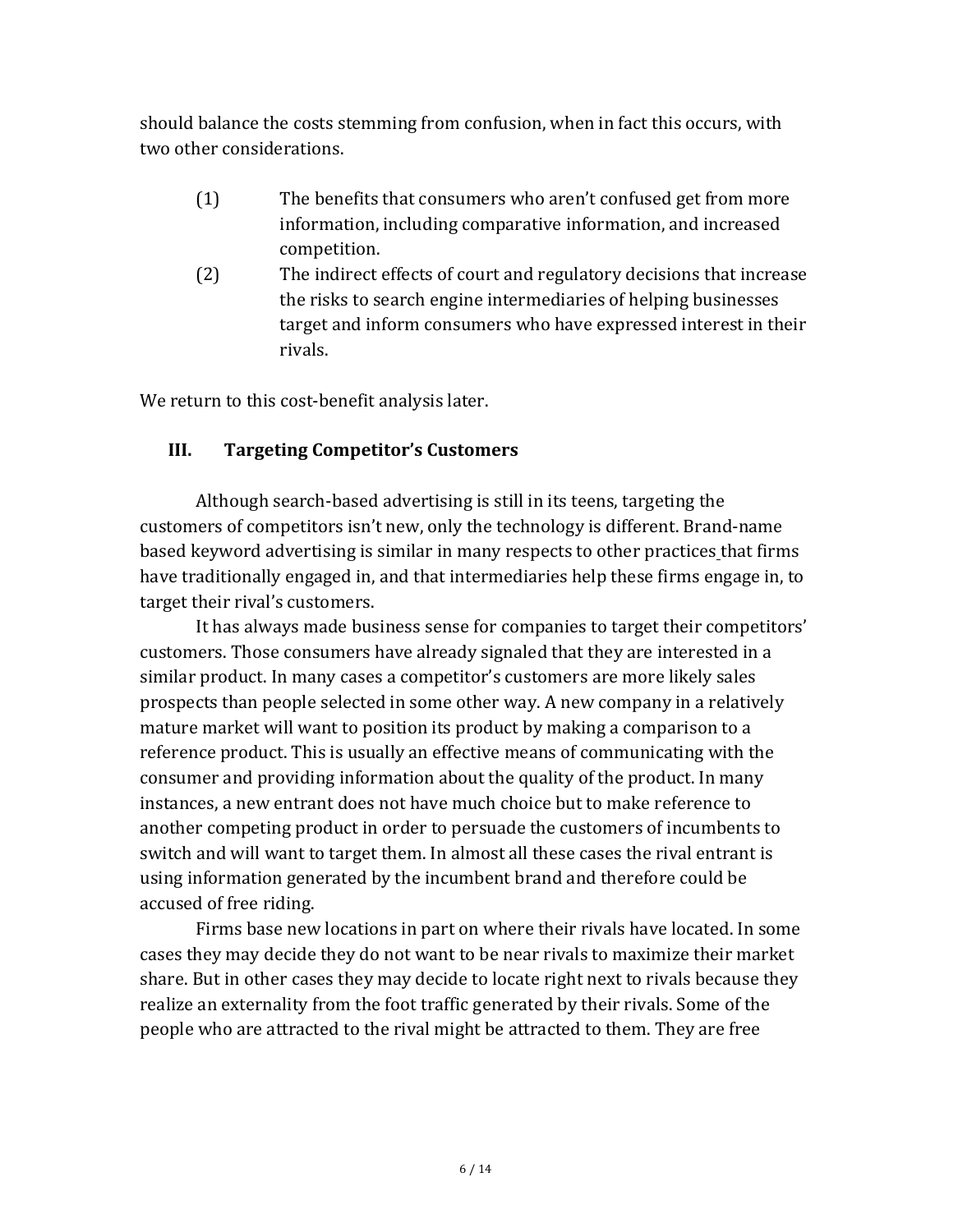should balance the costs stemming from confusion, when in fact this occurs, with two other considerations.

- $(1)$  The benefits that consumers who aren't confused get from more information, including comparative information, and increased competition.
- (2) The indirect effects of court and regulatory decisions that increase the risks to search engine intermediaries of helping businesses target and inform consumers who have expressed interest in their rivals.

We return to this cost-benefit analysis later.

# **III.** Targeting Competitor's Customers

Although search-based advertising is still in its teens, targeting the customers of competitors isn't new, only the technology is different. Brand-name based keyword advertising is similar in many respects to other practices that firms have traditionally engaged in, and that intermediaries help these firms engage in, to target their rival's customers.

It has always made business sense for companies to target their competitors' customers. Those consumers have already signaled that they are interested in a similar product. In many cases a competitor's customers are more likely sales prospects than people selected in some other way. A new company in a relatively mature market will want to position its product by making a comparison to a reference product. This is usually an effective means of communicating with the consumer and providing information about the quality of the product. In many instances, a new entrant does not have much choice but to make reference to another competing product in order to persuade the customers of incumbents to switch and will want to target them. In almost all these cases the rival entrant is using information generated by the incumbent brand and therefore could be accused of free riding.

Firms base new locations in part on where their rivals have located. In some cases they may decide they do not want to be near rivals to maximize their market share. But in other cases they may decide to locate right next to rivals because they realize an externality from the foot traffic generated by their rivals. Some of the people who are attracted to the rival might be attracted to them. They are free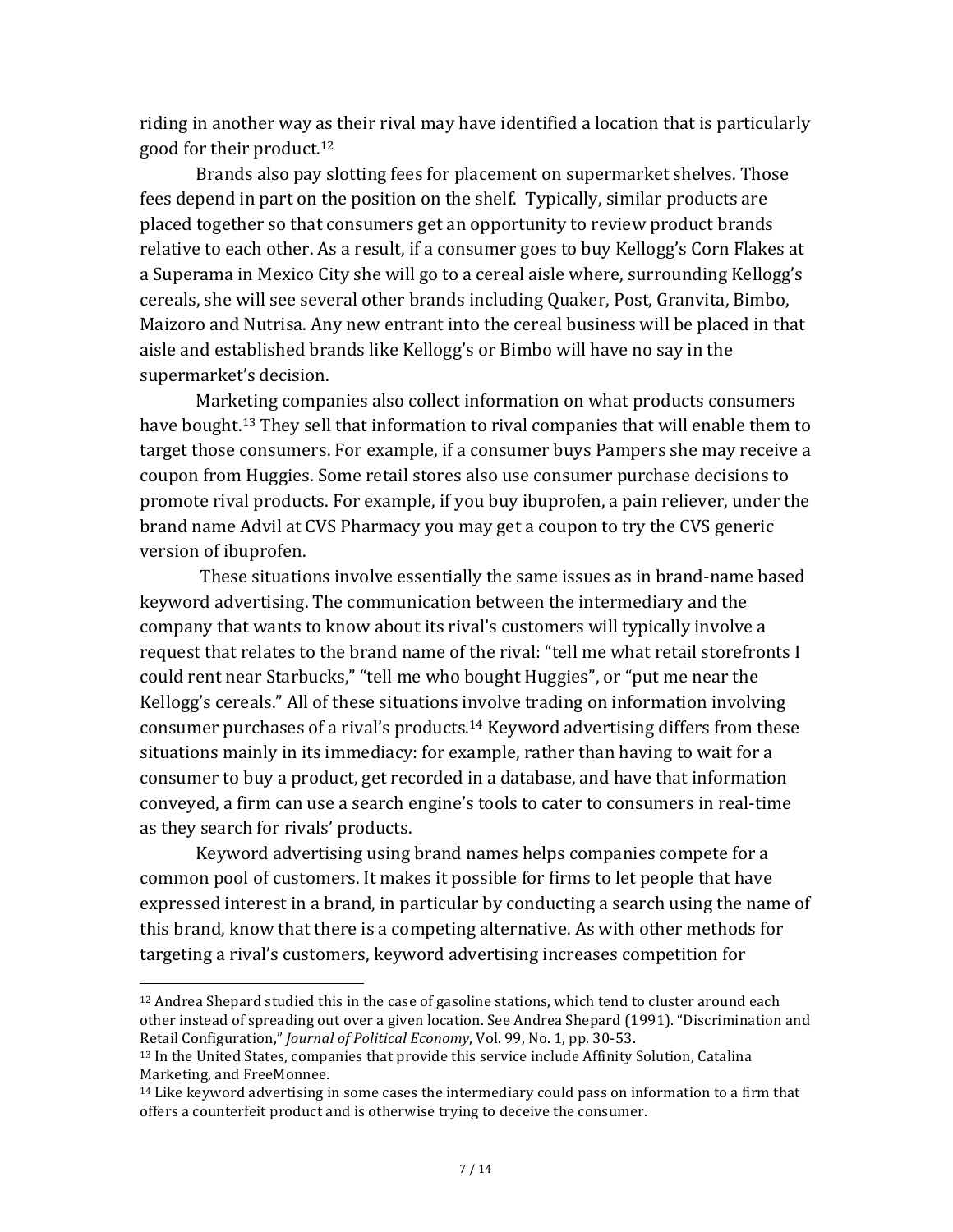riding in another way as their rival may have identified a location that is particularly good for their product.<sup>12</sup>

Brands also pay slotting fees for placement on supermarket shelves. Those fees depend in part on the position on the shelf. Typically, similar products are placed together so that consumers get an opportunity to review product brands relative to each other. As a result, if a consumer goes to buy Kellogg's Corn Flakes at a Superama in Mexico City she will go to a cereal aisle where, surrounding Kellogg's cereals, she will see several other brands including Quaker, Post, Granvita, Bimbo, Maizoro and Nutrisa. Any new entrant into the cereal business will be placed in that aisle and established brands like Kellogg's or Bimbo will have no say in the supermarket's decision.

Marketing companies also collect information on what products consumers have bought.<sup>13</sup> They sell that information to rival companies that will enable them to target those consumers. For example, if a consumer buys Pampers she may receive a coupon from Huggies. Some retail stores also use consumer purchase decisions to promote rival products. For example, if you buy ibuprofen, a pain reliever, under the brand name Advil at CVS Pharmacy you may get a coupon to try the CVS generic version of ibuprofen.

These situations involve essentially the same issues as in brand-name based keyword advertising. The communication between the intermediary and the company that wants to know about its rival's customers will typically involve a request that relates to the brand name of the rival: "tell me what retail storefronts I could rent near Starbucks," "tell me who bought Huggies", or "put me near the Kellogg's cereals." All of these situations involve trading on information involving consumer purchases of a rival's products.<sup>14</sup> Keyword advertising differs from these situations mainly in its immediacy: for example, rather than having to wait for a consumer to buy a product, get recorded in a database, and have that information conveyed, a firm can use a search engine's tools to cater to consumers in real-time as they search for rivals' products.

Keyword advertising using brand names helps companies compete for a common pool of customers. It makes it possible for firms to let people that have expressed interest in a brand, in particular by conducting a search using the name of this brand, know that there is a competing alternative. As with other methods for targeting a rival's customers, keyword advertising increases competition for

 $12$  Andrea Shepard studied this in the case of gasoline stations, which tend to cluster around each other instead of spreading out over a given location. See Andrea Shepard (1991). "Discrimination and Retail Configuration," *Journal of Political Economy*, Vol. 99, No. 1, pp. 30-53.

<sup>&</sup>lt;sup>13</sup> In the United States, companies that provide this service include Affinity Solution, Catalina Marketing, and FreeMonnee.

 $14$  Like keyword advertising in some cases the intermediary could pass on information to a firm that offers a counterfeit product and is otherwise trying to deceive the consumer.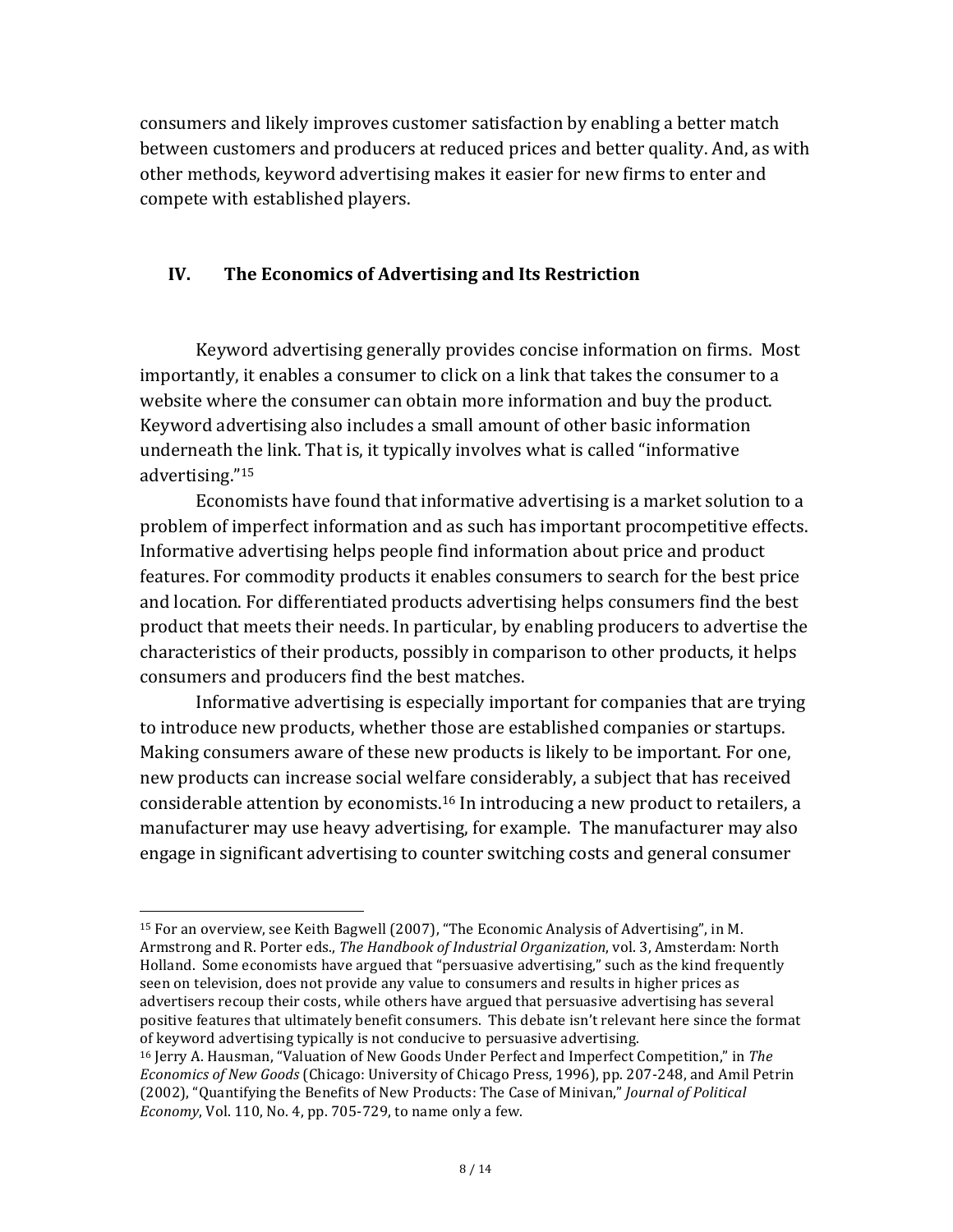consumers and likely improves customer satisfaction by enabling a better match between customers and producers at reduced prices and better quality. And, as with other methods, keyword advertising makes it easier for new firms to enter and compete with established players.

# **IV.** The Economics of Advertising and Its Restriction

Keyword advertising generally provides concise information on firms. Most importantly, it enables a consumer to click on a link that takes the consumer to a website where the consumer can obtain more information and buy the product. Keyword advertising also includes a small amount of other basic information underneath the link. That is, it typically involves what is called "informative" advertising."15

Economists have found that informative advertising is a market solution to a problem of imperfect information and as such has important procompetitive effects. Informative advertising helps people find information about price and product features. For commodity products it enables consumers to search for the best price and location. For differentiated products advertising helps consumers find the best product that meets their needs. In particular, by enabling producers to advertise the characteristics of their products, possibly in comparison to other products, it helps consumers and producers find the best matches.

Informative advertising is especially important for companies that are trying to introduce new products, whether those are established companies or startups. Making consumers aware of these new products is likely to be important. For one, new products can increase social welfare considerably, a subject that has received considerable attention by economists.<sup>16</sup> In introducing a new product to retailers, a manufacturer may use heavy advertising, for example. The manufacturer may also engage in significant advertising to counter switching costs and general consumer

<sup>!!!!!!!!!!!!!!!!!!!!!!!!!!!!!!!!!!!!!!!!!!!!!!!!!!!!!!!</sup> <sup>15</sup> For an overview, see Keith Bagwell (2007), "The Economic Analysis of Advertising", in M. Armstrong and R. Porter eds., *The Handbook of Industrial Organization*, vol. 3, Amsterdam: North Holland. Some economists have argued that "persuasive advertising," such as the kind frequently seen on television, does not provide any value to consumers and results in higher prices as advertisers recoup their costs, while others have argued that persuasive advertising has several positive features that ultimately benefit consumers. This debate isn't relevant here since the format of keyword advertising typically is not conducive to persuasive advertising.

<sup>&</sup>lt;sup>16</sup> Jerry A. Hausman, "Valuation of New Goods Under Perfect and Imperfect Competition," in *The Economics of New Goods* (Chicago: University of Chicago Press, 1996), pp. 207-248, and Amil Petrin (2002), "Quantifying the Benefits of New Products: The Case of Minivan," *Journal of Political Economy*, Vol. 110, No. 4, pp. 705-729, to name only a few.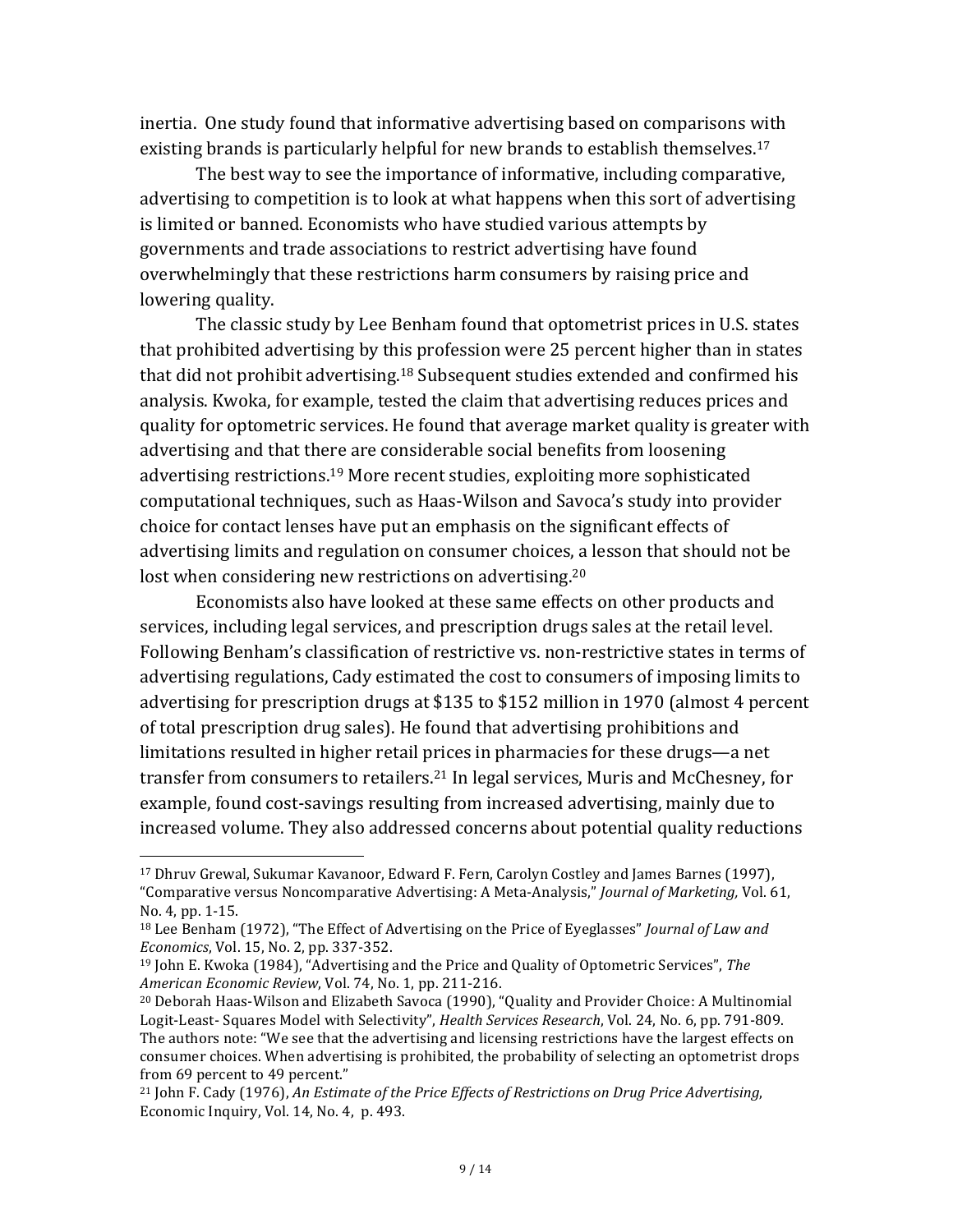inertia. One study found that informative advertising based on comparisons with existing brands is particularly helpful for new brands to establish themselves.<sup>17</sup>

The best way to see the importance of informative, including comparative, advertising to competition is to look at what happens when this sort of advertising is limited or banned. Economists who have studied various attempts by governments and trade associations to restrict advertising have found overwhelmingly that these restrictions harm consumers by raising price and lowering quality.

The classic study by Lee Benham found that optometrist prices in U.S. states that prohibited advertising by this profession were 25 percent higher than in states that did not prohibit advertising.<sup>18</sup> Subsequent studies extended and confirmed his analysis. Kwoka, for example, tested the claim that advertising reduces prices and quality for optometric services. He found that average market quality is greater with advertising and that there are considerable social benefits from loosening advertising restrictions.<sup>19</sup> More recent studies, exploiting more sophisticated computational techniques, such as Haas-Wilson and Savoca's study into provider choice for contact lenses have put an emphasis on the significant effects of advertising limits and regulation on consumer choices, a lesson that should not be lost when considering new restrictions on advertising.<sup>20</sup>

Economists also have looked at these same effects on other products and services, including legal services, and prescription drugs sales at the retail level. Following Benham's classification of restrictive vs. non-restrictive states in terms of advertising regulations, Cady estimated the cost to consumers of imposing limits to advertising for prescription drugs at \$135 to \$152 million in 1970 (almost 4 percent of total prescription drug sales). He found that advertising prohibitions and limitations resulted in higher retail prices in pharmacies for these drugs—a net transfer from consumers to retailers.<sup>21</sup> In legal services, Muris and McChesnev, for example, found cost-savings resulting from increased advertising, mainly due to increased volume. They also addressed concerns about potential quality reductions

<sup>&</sup>lt;sup>17</sup> Dhruv Grewal, Sukumar Kavanoor, Edward F. Fern, Carolyn Costley and James Barnes (1997), "Comparative versus Noncomparative Advertising: A Meta-Analysis," *Journal of Marketing*, Vol. 61, No. 4, pp. 1-15.

<sup>&</sup>lt;sup>18</sup> Lee Benham (1972), "The Effect of Advertising on the Price of Eyeglasses" *Journal of Law and Economics*, Vol. 15, No. 2, pp. 337-352.

<sup>&</sup>lt;sup>19</sup> John E. Kwoka (1984), "Advertising and the Price and Quality of Optometric Services", *The* American Economic Review, Vol. 74, No. 1, pp. 211-216.

<sup>&</sup>lt;sup>20</sup> Deborah Haas-Wilson and Elizabeth Savoca (1990), "Quality and Provider Choice: A Multinomial Logit-Least- Squares Model with Selectivity", *Health Services Research*, Vol. 24, No. 6, pp. 791-809. The authors note: "We see that the advertising and licensing restrictions have the largest effects on consumer choices. When advertising is prohibited, the probability of selecting an optometrist drops from 69 percent to 49 percent."

<sup>&</sup>lt;sup>21</sup> John F. Cady (1976), An Estimate of the Price Effects of Restrictions on Drug Price Advertising, Economic Inquiry, Vol. 14, No. 4, p. 493.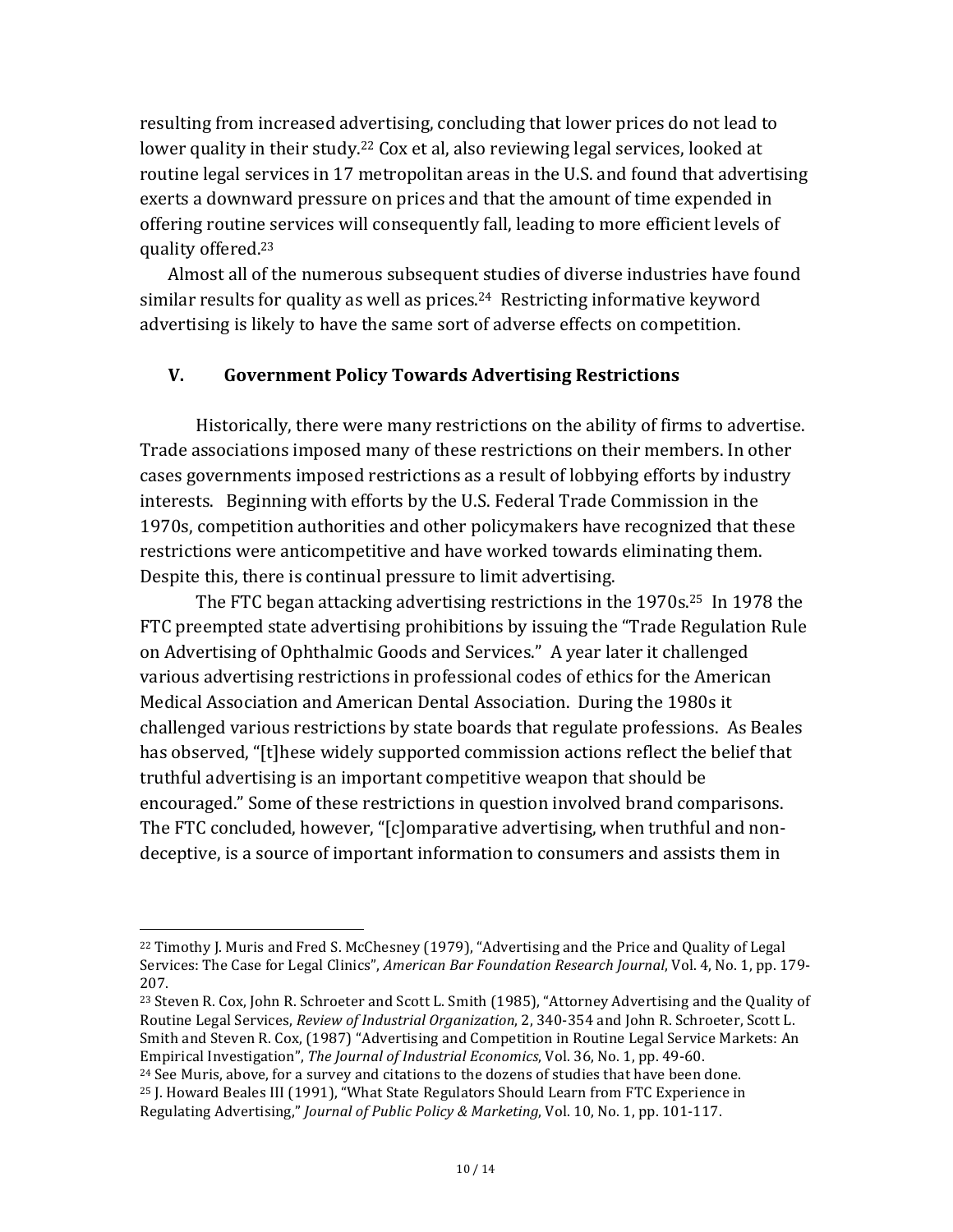resulting from increased advertising, concluding that lower prices do not lead to lower quality in their study.<sup>22</sup> Cox et al, also reviewing legal services, looked at routine legal services in 17 metropolitan areas in the U.S. and found that advertising exerts a downward pressure on prices and that the amount of time expended in offering routine services will consequently fall, leading to more efficient levels of quality offered.<sup>23</sup>

Almost all of the numerous subsequent studies of diverse industries have found similar results for quality as well as prices.<sup>24</sup> Restricting informative keyword advertising is likely to have the same sort of adverse effects on competition.

## **V. Government Policy Towards Advertising Restrictions**

Historically, there were many restrictions on the ability of firms to advertise. Trade associations imposed many of these restrictions on their members. In other cases governments imposed restrictions as a result of lobbying efforts by industry interests. Beginning with efforts by the U.S. Federal Trade Commission in the 1970s, competition authorities and other policymakers have recognized that these restrictions were anticompetitive and have worked towards eliminating them. Despite this, there is continual pressure to limit advertising.

The FTC began attacking advertising restrictions in the  $1970s$ .<sup>25</sup> In 1978 the FTC preempted state advertising prohibitions by issuing the "Trade Regulation Rule" on Advertising of Ophthalmic Goods and Services." A year later it challenged various advertising restrictions in professional codes of ethics for the American Medical Association and American Dental Association. During the 1980s it challenged various restrictions by state boards that regulate professions. As Beales has observed, "[t]hese widely supported commission actions reflect the belief that truthful advertising is an important competitive weapon that should be encouraged." Some of these restrictions in question involved brand comparisons. The FTC concluded, however, "[c]omparative advertising, when truthful and nondeceptive, is a source of important information to consumers and assists them in

<sup>&</sup>lt;sup>22</sup> Timothy J. Muris and Fred S. McChesney (1979), "Advertising and the Price and Quality of Legal Services: The Case for Legal Clinics", *American Bar Foundation Research Journal*, Vol. 4, No. 1, pp. 179-207.

<sup>&</sup>lt;sup>23</sup> Steven R. Cox, John R. Schroeter and Scott L. Smith (1985), "Attorney Advertising and the Quality of Routine Legal Services, *Review of Industrial Organization*, 2, 340-354 and John R. Schroeter, Scott L. Smith and Steven R. Cox, (1987) "Advertising and Competition in Routine Legal Service Markets: An Empirical Investigation", *The Journal of Industrial Economics*, Vol. 36, No. 1, pp. 49-60.

 $24$  See Muris, above, for a survey and citations to the dozens of studies that have been done. <sup>25</sup> J. Howard Beales III (1991), "What State Regulators Should Learn from FTC Experience in Regulating Advertising," *Journal of Public Policy & Marketing*, Vol. 10, No. 1, pp. 101-117.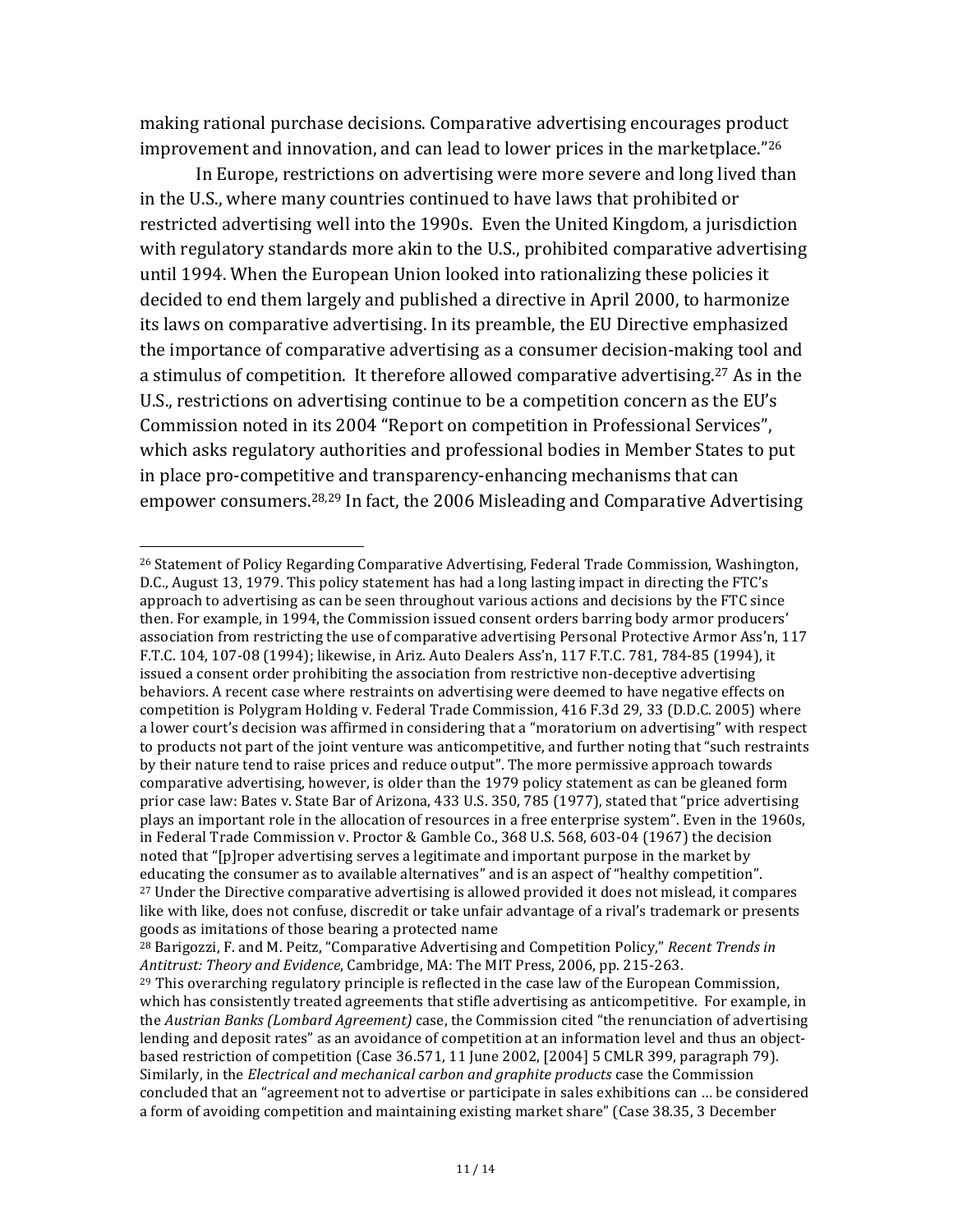making rational purchase decisions. Comparative advertising encourages product improvement and innovation, and can lead to lower prices in the marketplace." $26$ 

In Europe, restrictions on advertising were more severe and long lived than in the U.S., where many countries continued to have laws that prohibited or restricted advertising well into the 1990s. Even the United Kingdom, a jurisdiction with regulatory standards more akin to the U.S., prohibited comparative advertising until 1994. When the European Union looked into rationalizing these policies it decided to end them largely and published a directive in April 2000, to harmonize its laws on comparative advertising. In its preamble, the EU Directive emphasized the importance of comparative advertising as a consumer decision-making tool and a stimulus of competition. It therefore allowed comparative advertising.<sup>27</sup> As in the U.S., restrictions on advertising continue to be a competition concern as the EU's Commission noted in its 2004 "Report on competition in Professional Services", which asks regulatory authorities and professional bodies in Member States to put in place pro-competitive and transparency-enhancing mechanisms that can empower consumers.<sup>28,29</sup> In fact, the 2006 Misleading and Comparative Advertising

<sup>!!!!!!!!!!!!!!!!!!!!!!!!!!!!!!!!!!!!!!!!!!!!!!!!!!!!!!!</sup> <sup>26</sup> Statement of Policy Regarding Comparative Advertising, Federal Trade Commission, Washington, D.C., August 13, 1979. This policy statement has had a long lasting impact in directing the FTC's approach to advertising as can be seen throughout various actions and decisions by the FTC since then. For example, in 1994, the Commission issued consent orders barring body armor producers' association from restricting the use of comparative advertising Personal Protective Armor Ass'n, 117 F.T.C. 104, 107-08 (1994); likewise, in Ariz. Auto Dealers Ass'n, 117 F.T.C. 781, 784-85 (1994), it issued a consent order prohibiting the association from restrictive non-deceptive advertising behaviors. A recent case where restraints on advertising were deemed to have negative effects on competition is Polygram Holding v. Federal Trade Commission, 416 F.3d 29, 33 (D.D.C. 2005) where a lower court's decision was affirmed in considering that a "moratorium on advertising" with respect to products not part of the joint venture was anticompetitive, and further noting that "such restraints" by their nature tend to raise prices and reduce output". The more permissive approach towards comparative advertising, however, is older than the 1979 policy statement as can be gleaned form prior case law: Bates v. State Bar of Arizona, 433 U.S. 350, 785 (1977), stated that "price advertising plays an important role in the allocation of resources in a free enterprise system". Even in the 1960s, in Federal Trade Commission v. Proctor & Gamble Co., 368 U.S. 568, 603-04 (1967) the decision noted that "[p]roper advertising serves a legitimate and important purpose in the market by educating the consumer as to available alternatives" and is an aspect of "healthy competition".  $27$  Under the Directive comparative advertising is allowed provided it does not mislead, it compares like with like, does not confuse, discredit or take unfair advantage of a rival's trademark or presents goods as imitations of those bearing a protected name

<sup>&</sup>lt;sup>28</sup> Barigozzi, F. and M. Peitz, "Comparative Advertising and Competition Policy," *Recent Trends in* Antitrust: Theory and Evidence, Cambridge, MA: The MIT Press, 2006, pp. 215-263.

 $^{29}$  This overarching regulatory principle is reflected in the case law of the European Commission, which has consistently treated agreements that stifle advertising as anticompetitive. For example, in the *Austrian Banks (Lombard Agreement)* case, the Commission cited "the renunciation of advertising lending and deposit rates" as an avoidance of competition at an information level and thus an objectbased restriction of competition (Case 36.571, 11 June 2002, [2004] 5 CMLR 399, paragraph 79). Similarly, in the *Electrical and mechanical carbon and graphite products* case the Commission concluded that an "agreement not to advertise or participate in sales exhibitions can ... be considered a form of avoiding competition and maintaining existing market share" (Case 38.35, 3 December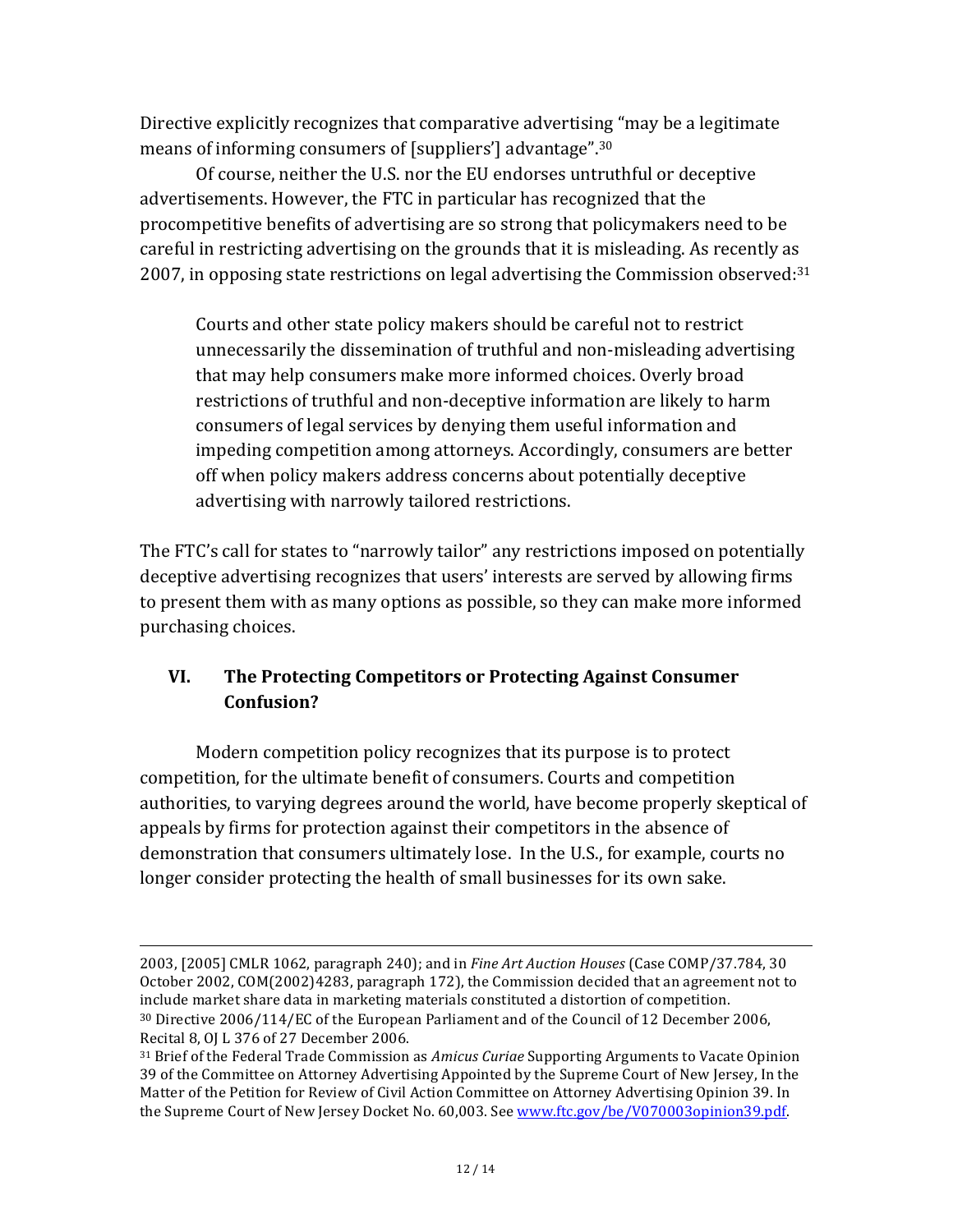Directive explicitly recognizes that comparative advertising "may be a legitimate means of informing consumers of [suppliers'] advantage".<sup>30</sup>

Of course, neither the U.S. nor the EU endorses untruthful or deceptive advertisements. However, the FTC in particular has recognized that the procompetitive benefits of advertising are so strong that policymakers need to be careful in restricting advertising on the grounds that it is misleading. As recently as 2007, in opposing state restrictions on legal advertising the Commission observed: $31$ 

Courts and other state policy makers should be careful not to restrict unnecessarily the dissemination of truthful and non-misleading advertising that may help consumers make more informed choices. Overly broad restrictions of truthful and non-deceptive information are likely to harm consumers of legal services by denying them useful information and impeding competition among attorneys. Accordingly, consumers are better off when policy makers address concerns about potentially deceptive advertising with narrowly tailored restrictions.

The FTC's call for states to "narrowly tailor" any restrictions imposed on potentially deceptive advertising recognizes that users' interests are served by allowing firms to present them with as many options as possible, so they can make more informed purchasing choices.

# **VI.** The Protecting Competitors or Protecting Against Consumer **Confusion?**

Modern competition policy recognizes that its purpose is to protect competition, for the ultimate benefit of consumers. Courts and competition authorities, to varying degrees around the world, have become properly skeptical of appeals by firms for protection against their competitors in the absence of demonstration that consumers ultimately lose. In the U.S., for example, courts no longer consider protecting the health of small businesses for its own sake.

!!!!!!!!!!!!!!!!!!!!!!!!!!!!!!!!!!!!!!!!!!!!!!!!!!!!!!!!!!!!!!!!!!!!!!!!!!!!!!!!!!!!!!!!!!!!!!!!!!!!!!!!!!!!!!!!!!!!!!!!!!!!!!!!!!!!!!!!!!!!!!!!!!!!!!!!!!!!!!!!!!!!

<sup>2003, [2005]</sup> CMLR 1062, paragraph 240); and in *Fine Art Auction Houses* (Case COMP/37.784, 30 October 2002, COM(2002)4283, paragraph 172), the Commission decided that an agreement not to include market share data in marketing materials constituted a distortion of competition.  $30$  Directive 2006/114/EC of the European Parliament and of the Council of 12 December 2006, Recital 8, OJ L 376 of 27 December 2006.

<sup>&</sup>lt;sup>31</sup> Brief of the Federal Trade Commission as *Amicus Curiae* Supporting Arguments to Vacate Opinion 39 of the Committee on Attorney Advertising Appointed by the Supreme Court of New Jersey, In the Matter of the Petition for Review of Civil Action Committee on Attorney Advertising Opinion 39. In the Supreme Court of New Jersey Docket No. 60,003. See www.ftc.gov/be/V070003opinion39.pdf.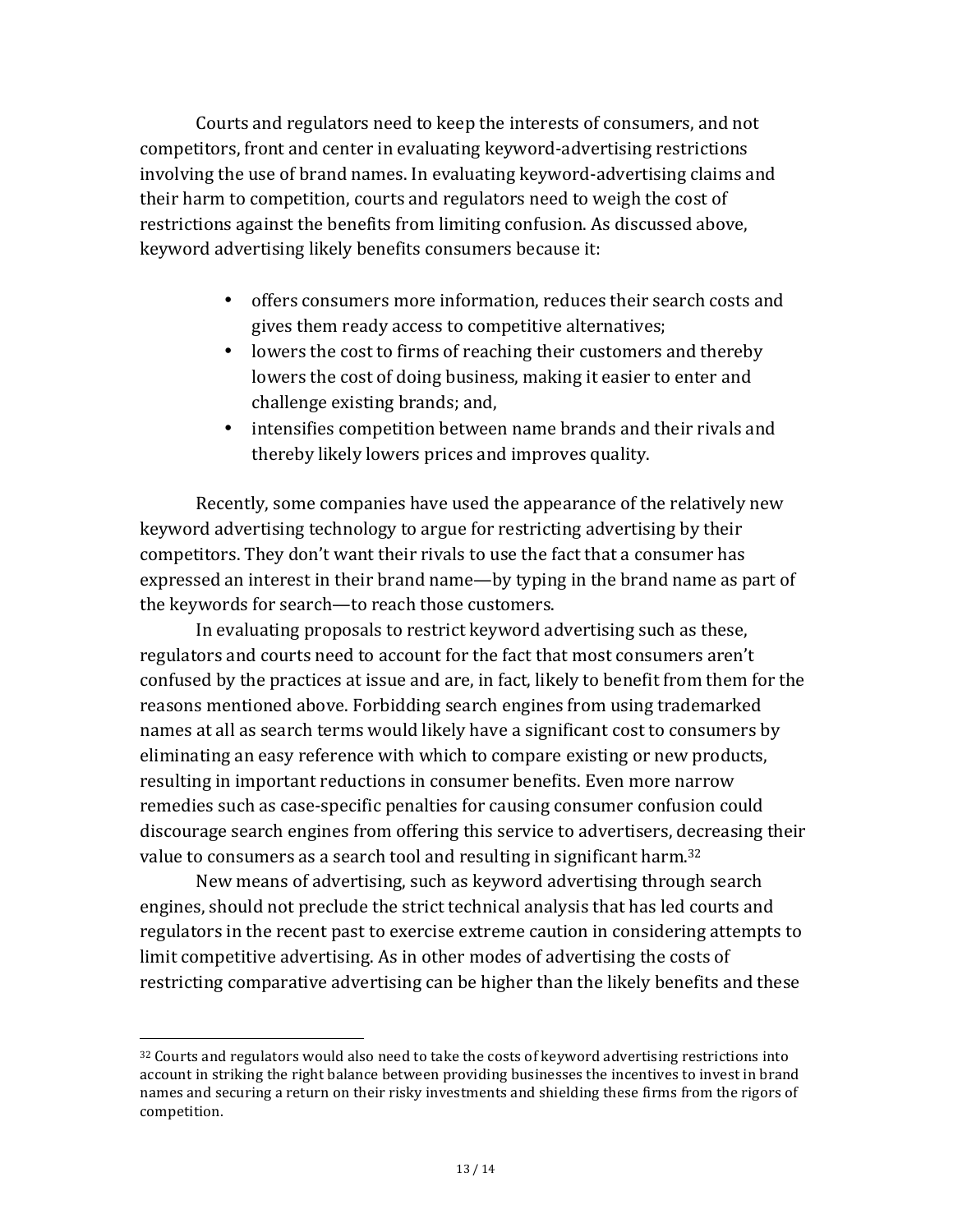Courts and regulators need to keep the interests of consumers, and not competitors, front and center in evaluating keyword-advertising restrictions involving the use of brand names. In evaluating keyword-advertising claims and their harm to competition, courts and regulators need to weigh the cost of restrictions against the benefits from limiting confusion. As discussed above, keyword advertising likely benefits consumers because it:

- offers consumers more information, reduces their search costs and gives them ready access to competitive alternatives;
- lowers the cost to firms of reaching their customers and thereby lowers the cost of doing business, making it easier to enter and challenge existing brands; and,
- intensifies competition between name brands and their rivals and thereby likely lowers prices and improves quality.

Recently, some companies have used the appearance of the relatively new keyword advertising technology to argue for restricting advertising by their competitors. They don't want their rivals to use the fact that a consumer has expressed an interest in their brand name—by typing in the brand name as part of the keywords for search—to reach those customers.

In evaluating proposals to restrict keyword advertising such as these, regulators and courts need to account for the fact that most consumers aren't confused by the practices at issue and are, in fact, likely to benefit from them for the reasons mentioned above. Forbidding search engines from using trademarked names at all as search terms would likely have a significant cost to consumers by eliminating an easy reference with which to compare existing or new products, resulting in important reductions in consumer benefits. Even more narrow remedies such as case-specific penalties for causing consumer confusion could discourage search engines from offering this service to advertisers, decreasing their value to consumers as a search tool and resulting in significant harm.<sup>32</sup>

New means of advertising, such as keyword advertising through search engines, should not preclude the strict technical analysis that has led courts and regulators in the recent past to exercise extreme caution in considering attempts to limit competitive advertising. As in other modes of advertising the costs of restricting comparative advertising can be higher than the likely benefits and these

 $32$  Courts and regulators would also need to take the costs of keyword advertising restrictions into account in striking the right balance between providing businesses the incentives to invest in brand names and securing a return on their risky investments and shielding these firms from the rigors of competition.